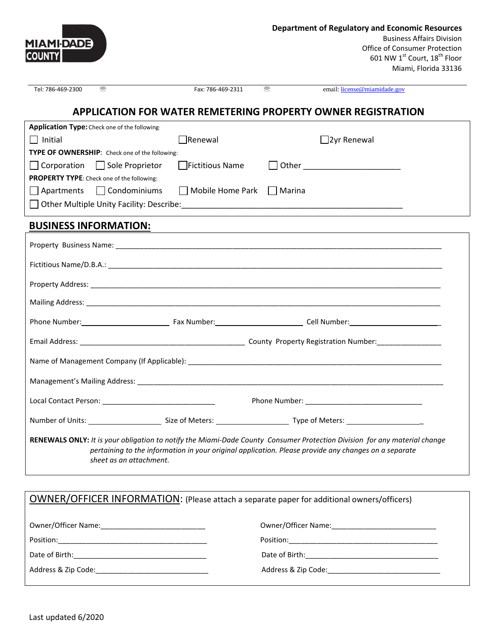| <b>MIAMI-DADE</b><br><b>COUNTY</b> |                                                       |                                                                                                                 |   | <b>Department of Regulatory and Economic Resources</b><br><b>Business Affairs Division</b><br><b>Office of Consumer Protection</b><br>601 NW 1st Court, 18 <sup>th</sup> Floor<br>Miami, Florida 33136                            |
|------------------------------------|-------------------------------------------------------|-----------------------------------------------------------------------------------------------------------------|---|-----------------------------------------------------------------------------------------------------------------------------------------------------------------------------------------------------------------------------------|
| Tel: 786-469-2300                  | 需                                                     | Fax: 786-469-2311                                                                                               | 需 | email: license@miamidade.gov                                                                                                                                                                                                      |
|                                    |                                                       |                                                                                                                 |   | <b>APPLICATION FOR WATER REMETERING PROPERTY OWNER REGISTRATION</b>                                                                                                                                                               |
|                                    | Application Type: Check one of the following:         |                                                                                                                 |   |                                                                                                                                                                                                                                   |
| Initial                            |                                                       | Renewal                                                                                                         |   | $\Box$ 2yr Renewal                                                                                                                                                                                                                |
|                                    | <b>TYPE OF OWNERSHIP:</b> Check one of the following: |                                                                                                                 |   |                                                                                                                                                                                                                                   |
|                                    | Corporation Sole Proprietor                           | <b>Fictitious Name</b>                                                                                          |   |                                                                                                                                                                                                                                   |
|                                    | <b>PROPERTY TYPE:</b> Check one of the following:     |                                                                                                                 |   |                                                                                                                                                                                                                                   |
|                                    | Apartments Condominiums                               | Mobile Home Park Marina                                                                                         |   |                                                                                                                                                                                                                                   |
|                                    |                                                       |                                                                                                                 |   |                                                                                                                                                                                                                                   |
|                                    | <b>BUSINESS INFORMATION:</b>                          | the contract of the contract of the contract of the contract of the contract of the contract of the contract of |   |                                                                                                                                                                                                                                   |
|                                    |                                                       |                                                                                                                 |   |                                                                                                                                                                                                                                   |
|                                    |                                                       |                                                                                                                 |   |                                                                                                                                                                                                                                   |
|                                    |                                                       |                                                                                                                 |   |                                                                                                                                                                                                                                   |
|                                    |                                                       |                                                                                                                 |   |                                                                                                                                                                                                                                   |
|                                    |                                                       |                                                                                                                 |   | Phone Number: 1990 Cell Number: 2008 Cell Number: 2009 Cell Number: 2009 Cell Number: 2009 Cell Number: 2009 Cell Number: 2009 Cell Number: 2009 Cell Number: 2009 Cell Number: 2009 Cell Number: 2009 Cell Number: 2009 Cell     |
|                                    |                                                       |                                                                                                                 |   |                                                                                                                                                                                                                                   |
|                                    |                                                       |                                                                                                                 |   |                                                                                                                                                                                                                                   |
| Management's Mailing Address:      |                                                       |                                                                                                                 |   |                                                                                                                                                                                                                                   |
|                                    |                                                       |                                                                                                                 |   |                                                                                                                                                                                                                                   |
|                                    |                                                       |                                                                                                                 |   |                                                                                                                                                                                                                                   |
|                                    | sheet as an attachment.                               |                                                                                                                 |   | RENEWALS ONLY: It is your obligation to notify the Miami-Dade County Consumer Protection Division for any material change<br>pertaining to the information in your original application. Please provide any changes on a separate |

| OWNER/OFFICER INFORMATION: (Please attach a separate paper for additional owners/officers) |                                         |  |  |  |
|--------------------------------------------------------------------------------------------|-----------------------------------------|--|--|--|
| Owner/Officer Name: 1980 1991 1992 1994                                                    | Owner/Officer Name: 2008 2010 2010 2021 |  |  |  |
|                                                                                            |                                         |  |  |  |
|                                                                                            |                                         |  |  |  |
| Address & Zip Code: ___________________________________                                    |                                         |  |  |  |